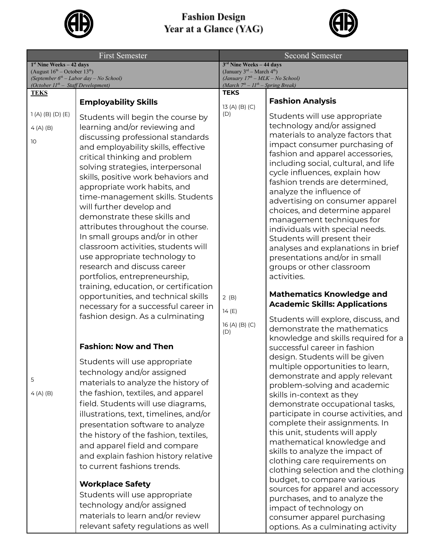

## **Fashion Design<br>Year at a Glance (YAG)**



| <b>First Semester</b>                                                                                                                                                       |                                                                                                                                                                                                                                                                                                                                                                                                                                                                                                                                                                                                                                                                                                                                                                                                                                                                                                                                                                                                                                                                                                                                                                                                                          | <b>Second Semester</b>                                                                                                                                          |                                                                                                                                                                                                                                                                                                                                                                                                                                                                                                                                                                                                                                                                                                                                                                                                                                                                                                                                                                                                                                                                                                                                                                                                                                                     |
|-----------------------------------------------------------------------------------------------------------------------------------------------------------------------------|--------------------------------------------------------------------------------------------------------------------------------------------------------------------------------------------------------------------------------------------------------------------------------------------------------------------------------------------------------------------------------------------------------------------------------------------------------------------------------------------------------------------------------------------------------------------------------------------------------------------------------------------------------------------------------------------------------------------------------------------------------------------------------------------------------------------------------------------------------------------------------------------------------------------------------------------------------------------------------------------------------------------------------------------------------------------------------------------------------------------------------------------------------------------------------------------------------------------------|-----------------------------------------------------------------------------------------------------------------------------------------------------------------|-----------------------------------------------------------------------------------------------------------------------------------------------------------------------------------------------------------------------------------------------------------------------------------------------------------------------------------------------------------------------------------------------------------------------------------------------------------------------------------------------------------------------------------------------------------------------------------------------------------------------------------------------------------------------------------------------------------------------------------------------------------------------------------------------------------------------------------------------------------------------------------------------------------------------------------------------------------------------------------------------------------------------------------------------------------------------------------------------------------------------------------------------------------------------------------------------------------------------------------------------------|
| $1st$ Nine Weeks - 42 days<br>(August $16^{\text{th}}$ – October $13^{\text{th}}$ )<br>(September $6th$ – Labor day – No School)<br>(October $II^{th}$ – Staff Development) |                                                                                                                                                                                                                                                                                                                                                                                                                                                                                                                                                                                                                                                                                                                                                                                                                                                                                                                                                                                                                                                                                                                                                                                                                          | $3rd$ Nine Weeks – 44 days<br>(January $3^{\text{rd}}$ – March $4^{\text{th}}$ )<br>(January $17th - MLK - No School$ )<br>(March $7th - 11th - Spring Break$ ) |                                                                                                                                                                                                                                                                                                                                                                                                                                                                                                                                                                                                                                                                                                                                                                                                                                                                                                                                                                                                                                                                                                                                                                                                                                                     |
| <b>TEKS</b>                                                                                                                                                                 |                                                                                                                                                                                                                                                                                                                                                                                                                                                                                                                                                                                                                                                                                                                                                                                                                                                                                                                                                                                                                                                                                                                                                                                                                          | <b>TEKS</b>                                                                                                                                                     |                                                                                                                                                                                                                                                                                                                                                                                                                                                                                                                                                                                                                                                                                                                                                                                                                                                                                                                                                                                                                                                                                                                                                                                                                                                     |
|                                                                                                                                                                             | <b>Employability Skills</b>                                                                                                                                                                                                                                                                                                                                                                                                                                                                                                                                                                                                                                                                                                                                                                                                                                                                                                                                                                                                                                                                                                                                                                                              |                                                                                                                                                                 | <b>Fashion Analysis</b>                                                                                                                                                                                                                                                                                                                                                                                                                                                                                                                                                                                                                                                                                                                                                                                                                                                                                                                                                                                                                                                                                                                                                                                                                             |
| $1(A)$ (B) (D) (E)<br>$4(A)$ (B)<br>10<br>5<br>$4(A)$ (B)                                                                                                                   | Students will begin the course by<br>learning and/or reviewing and<br>discussing professional standards<br>and employability skills, effective<br>critical thinking and problem<br>solving strategies, interpersonal<br>skills, positive work behaviors and<br>appropriate work habits, and<br>time-management skills. Students<br>will further develop and<br>demonstrate these skills and<br>attributes throughout the course.<br>In small groups and/or in other<br>classroom activities, students will<br>use appropriate technology to<br>research and discuss career<br>portfolios, entrepreneurship,<br>training, education, or certification<br>opportunities, and technical skills<br>necessary for a successful career in<br>fashion design. As a culminating<br><b>Fashion: Now and Then</b><br>Students will use appropriate<br>technology and/or assigned<br>materials to analyze the history of<br>the fashion, textiles, and apparel<br>field. Students will use diagrams,<br>illustrations, text, timelines, and/or<br>presentation software to analyze<br>the history of the fashion, textiles,<br>and apparel field and compare<br>and explain fashion history relative<br>to current fashions trends. | 13 (A) (B) (C)<br>(D)<br>2(B)<br>14(E)<br>16 (A) (B) (C)<br>(D)                                                                                                 | Students will use appropriate<br>technology and/or assigned<br>materials to analyze factors that<br>impact consumer purchasing of<br>fashion and apparel accessories,<br>including social, cultural, and life<br>cycle influences, explain how<br>fashion trends are determined,<br>analyze the influence of<br>advertising on consumer apparel<br>choices, and determine apparel<br>management techniques for<br>individuals with special needs.<br>Students will present their<br>analyses and explanations in brief<br>presentations and/or in small<br>groups or other classroom<br>activities.<br><b>Mathematics Knowledge and</b><br><b>Academic Skills: Applications</b><br>Students will explore, discuss, and<br>demonstrate the mathematics<br>knowledge and skills required for a<br>successful career in fashion<br>design. Students will be given<br>multiple opportunities to learn,<br>demonstrate and apply relevant<br>problem-solving and academic<br>skills in-context as they<br>demonstrate occupational tasks,<br>participate in course activities, and<br>complete their assignments. In<br>this unit, students will apply<br>mathematical knowledge and<br>skills to analyze the impact of<br>clothing care requirements on |
|                                                                                                                                                                             | <b>Workplace Safety</b><br>Students will use appropriate                                                                                                                                                                                                                                                                                                                                                                                                                                                                                                                                                                                                                                                                                                                                                                                                                                                                                                                                                                                                                                                                                                                                                                 |                                                                                                                                                                 | clothing selection and the clothing<br>budget, to compare various<br>sources for apparel and accessory<br>purchases, and to analyze the                                                                                                                                                                                                                                                                                                                                                                                                                                                                                                                                                                                                                                                                                                                                                                                                                                                                                                                                                                                                                                                                                                             |
|                                                                                                                                                                             | technology and/or assigned<br>materials to learn and/or review                                                                                                                                                                                                                                                                                                                                                                                                                                                                                                                                                                                                                                                                                                                                                                                                                                                                                                                                                                                                                                                                                                                                                           |                                                                                                                                                                 | impact of technology on<br>consumer apparel purchasing                                                                                                                                                                                                                                                                                                                                                                                                                                                                                                                                                                                                                                                                                                                                                                                                                                                                                                                                                                                                                                                                                                                                                                                              |
|                                                                                                                                                                             | relevant safety regulations as well                                                                                                                                                                                                                                                                                                                                                                                                                                                                                                                                                                                                                                                                                                                                                                                                                                                                                                                                                                                                                                                                                                                                                                                      |                                                                                                                                                                 | options. As a culminating activity                                                                                                                                                                                                                                                                                                                                                                                                                                                                                                                                                                                                                                                                                                                                                                                                                                                                                                                                                                                                                                                                                                                                                                                                                  |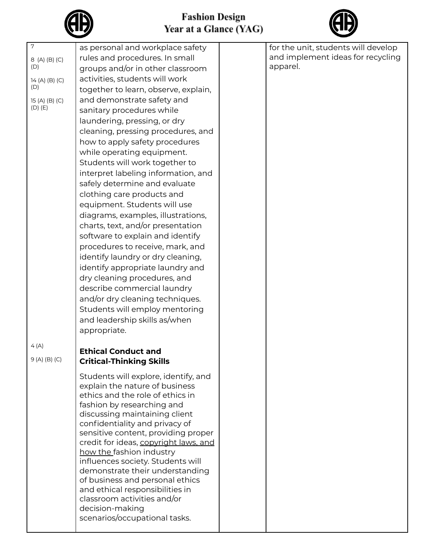



| $\overline{7}$<br>8 (A) (B) (C) | as personal and workplace safety<br>rules and procedures. In small   | for the unit, students will develop<br>and implement ideas for recycling |
|---------------------------------|----------------------------------------------------------------------|--------------------------------------------------------------------------|
| (D)                             | groups and/or in other classroom                                     | apparel.                                                                 |
| 14 (A) (B) (C)                  | activities, students will work                                       |                                                                          |
| (D)                             | together to learn, observe, explain,                                 |                                                                          |
| 15 (A) (B) (C)                  | and demonstrate safety and                                           |                                                                          |
| $(D)$ $(E)$                     | sanitary procedures while                                            |                                                                          |
|                                 | laundering, pressing, or dry                                         |                                                                          |
|                                 | cleaning, pressing procedures, and                                   |                                                                          |
|                                 | how to apply safety procedures                                       |                                                                          |
|                                 | while operating equipment.                                           |                                                                          |
|                                 | Students will work together to                                       |                                                                          |
|                                 | interpret labeling information, and                                  |                                                                          |
|                                 | safely determine and evaluate                                        |                                                                          |
|                                 | clothing care products and                                           |                                                                          |
|                                 | equipment. Students will use                                         |                                                                          |
|                                 | diagrams, examples, illustrations,                                   |                                                                          |
|                                 | charts, text, and/or presentation                                    |                                                                          |
|                                 | software to explain and identify                                     |                                                                          |
|                                 | procedures to receive, mark, and                                     |                                                                          |
|                                 | identify laundry or dry cleaning,                                    |                                                                          |
|                                 | identify appropriate laundry and                                     |                                                                          |
|                                 | dry cleaning procedures, and                                         |                                                                          |
|                                 | describe commercial laundry                                          |                                                                          |
|                                 | and/or dry cleaning techniques.                                      |                                                                          |
|                                 | Students will employ mentoring                                       |                                                                          |
|                                 | and leadership skills as/when                                        |                                                                          |
|                                 | appropriate.                                                         |                                                                          |
| 4(A)                            | <b>Ethical Conduct and</b>                                           |                                                                          |
| $9(A)$ (B) (C)                  | <b>Critical-Thinking Skills</b>                                      |                                                                          |
|                                 |                                                                      |                                                                          |
|                                 | Students will explore, identify, and                                 |                                                                          |
|                                 | explain the nature of business                                       |                                                                          |
|                                 | ethics and the role of ethics in<br>fashion by researching and       |                                                                          |
|                                 | discussing maintaining client                                        |                                                                          |
|                                 | confidentiality and privacy of                                       |                                                                          |
|                                 | sensitive content, providing proper                                  |                                                                          |
|                                 | credit for ideas, copyright laws, and                                |                                                                          |
|                                 | how the fashion industry                                             |                                                                          |
|                                 | influences society. Students will<br>demonstrate their understanding |                                                                          |
|                                 | of business and personal ethics                                      |                                                                          |
|                                 | and ethical responsibilities in                                      |                                                                          |
|                                 | classroom activities and/or                                          |                                                                          |
|                                 | decision-making                                                      |                                                                          |
|                                 | scenarios/occupational tasks.                                        |                                                                          |
|                                 |                                                                      |                                                                          |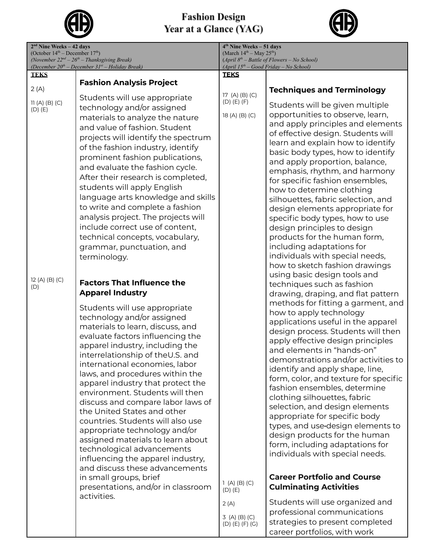

## **Fashion Design<br>Year at a Glance (YAG)**



| $2nd$ Nine Weeks – 42 days<br>(October $14th$ – December $17th$ ) |                                                                                                                                                                                                                                                                                                                                                                                                                                                                                                                                                                                                                                                                                                                            | $4th$ Nine Weeks – 51 days<br>(March $14th - May 25th$ ) |                                                                                                                                                                                                                                                                                                                                                                                                                                                                                                                                                                                                                                                                                                                          |  |
|-------------------------------------------------------------------|----------------------------------------------------------------------------------------------------------------------------------------------------------------------------------------------------------------------------------------------------------------------------------------------------------------------------------------------------------------------------------------------------------------------------------------------------------------------------------------------------------------------------------------------------------------------------------------------------------------------------------------------------------------------------------------------------------------------------|----------------------------------------------------------|--------------------------------------------------------------------------------------------------------------------------------------------------------------------------------------------------------------------------------------------------------------------------------------------------------------------------------------------------------------------------------------------------------------------------------------------------------------------------------------------------------------------------------------------------------------------------------------------------------------------------------------------------------------------------------------------------------------------------|--|
| (November $22^{nd} - 26^{th} -$ Thanksgiving Break)               |                                                                                                                                                                                                                                                                                                                                                                                                                                                                                                                                                                                                                                                                                                                            | $(April 8th - Battle of Flowers - No School)$            |                                                                                                                                                                                                                                                                                                                                                                                                                                                                                                                                                                                                                                                                                                                          |  |
| <b>TEKS</b>                                                       | (December $20^{th}$ – December $31^{st}$ – Holiday Break)                                                                                                                                                                                                                                                                                                                                                                                                                                                                                                                                                                                                                                                                  | <b>TEKS</b>                                              | $(April 15th - Good Friday - No School)$                                                                                                                                                                                                                                                                                                                                                                                                                                                                                                                                                                                                                                                                                 |  |
|                                                                   | <b>Fashion Analysis Project</b>                                                                                                                                                                                                                                                                                                                                                                                                                                                                                                                                                                                                                                                                                            |                                                          |                                                                                                                                                                                                                                                                                                                                                                                                                                                                                                                                                                                                                                                                                                                          |  |
| 2(A)<br>11(A) (B) (C)<br>$(D)$ $(E)$                              | Students will use appropriate<br>technology and/or assigned<br>materials to analyze the nature<br>and value of fashion. Student<br>projects will identify the spectrum<br>of the fashion industry, identify<br>prominent fashion publications,<br>and evaluate the fashion cycle.<br>After their research is completed,<br>students will apply English<br>language arts knowledge and skills<br>to write and complete a fashion<br>analysis project. The projects will<br>include correct use of content,<br>technical concepts, vocabulary,<br>grammar, punctuation, and<br>terminology.                                                                                                                                  | $17$ (A) (B) (C)<br>$(D)$ $(E)$ $(F)$<br>18 (A) (B) (C)  | <b>Techniques and Terminology</b><br>Students will be given multiple<br>opportunities to observe, learn,<br>and apply principles and elements<br>of effective design. Students will<br>learn and explain how to identify<br>basic body types, how to identify<br>and apply proportion, balance,<br>emphasis, rhythm, and harmony<br>for specific fashion ensembles,<br>how to determine clothing<br>silhouettes, fabric selection, and<br>design elements appropriate for<br>specific body types, how to use<br>design principles to design<br>products for the human form,<br>including adaptations for<br>individuals with special needs,                                                                              |  |
| 12 (A) (B) (C)                                                    |                                                                                                                                                                                                                                                                                                                                                                                                                                                                                                                                                                                                                                                                                                                            |                                                          | how to sketch fashion drawings<br>using basic design tools and                                                                                                                                                                                                                                                                                                                                                                                                                                                                                                                                                                                                                                                           |  |
| (D)                                                               | <b>Factors That Influence the</b><br><b>Apparel Industry</b>                                                                                                                                                                                                                                                                                                                                                                                                                                                                                                                                                                                                                                                               |                                                          | techniques such as fashion<br>drawing, draping, and flat pattern                                                                                                                                                                                                                                                                                                                                                                                                                                                                                                                                                                                                                                                         |  |
|                                                                   | Students will use appropriate<br>technology and/or assigned<br>materials to learn, discuss, and<br>evaluate factors influencing the<br>apparel industry, including the<br>interrelationship of theU.S. and<br>international economies, labor<br>laws, and procedures within the<br>apparel industry that protect the<br>environment. Students will then<br>discuss and compare labor laws of<br>the United States and other<br>countries. Students will also use<br>appropriate technology and/or<br>assigned materials to learn about<br>technological advancements<br>influencing the apparel industry,<br>and discuss these advancements<br>in small groups, brief<br>presentations, and/or in classroom<br>activities. | 1(A) (B) (C)<br>$(D)$ $(E)$<br>2(A)                      | methods for fitting a garment, and<br>how to apply technology<br>applications useful in the apparel<br>design process. Students will then<br>apply effective design principles<br>and elements in "hands-on"<br>demonstrations and/or activities to<br>identify and apply shape, line,<br>form, color, and texture for specific<br>fashion ensembles, determine<br>clothing silhouettes, fabric<br>selection, and design elements<br>appropriate for specific body<br>types, and use-design elements to<br>design products for the human<br>form, including adaptations for<br>individuals with special needs.<br><b>Career Portfolio and Course</b><br><b>Culminating Activities</b><br>Students will use organized and |  |
|                                                                   |                                                                                                                                                                                                                                                                                                                                                                                                                                                                                                                                                                                                                                                                                                                            | 3(A) (B) (C)<br>$(D)$ $(E)$ $(F)$ $(G)$                  | professional communications<br>strategies to present completed<br>career portfolios, with work                                                                                                                                                                                                                                                                                                                                                                                                                                                                                                                                                                                                                           |  |